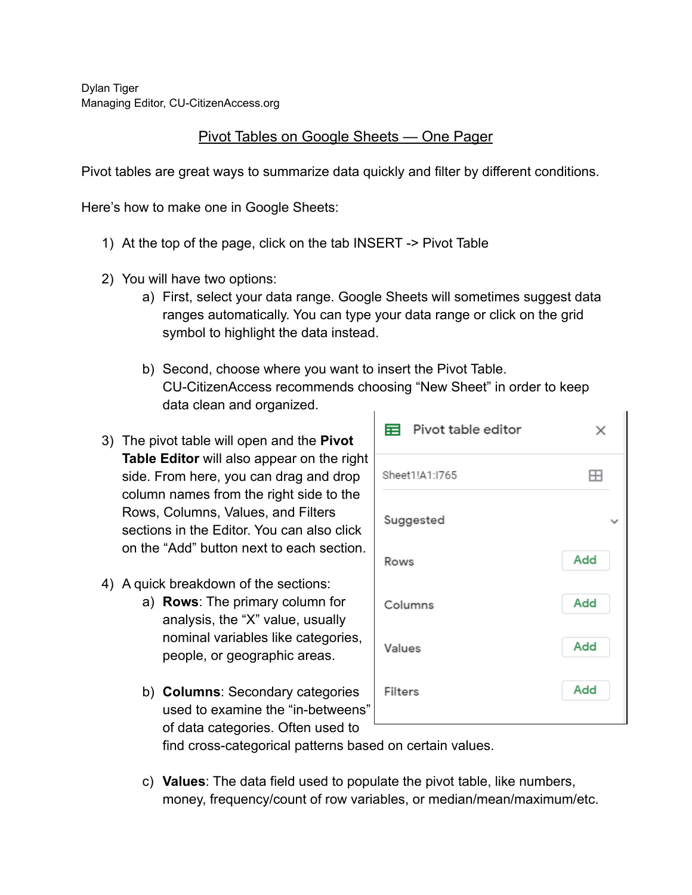Dylan Tiger Managing Editor, CU-CitizenAccess.org

## Pivot Tables on Google Sheets — One Pager

Pivot tables are great ways to summarize data quickly and filter by different conditions.

Here's how to make one in Google Sheets:

- 1) At the top of the page, click on the tab INSERT -> Pivot Table
- 2) You will have two options:
	- a) First, select your data range. Google Sheets will sometimes suggest data ranges automatically. You can type your data range or click on the grid symbol to highlight the data instead.
	- b) Second, choose where you want to insert the Pivot Table. CU-CitizenAccess recommends choosing "New Sheet" in order to keep data clean and organized.
- 3) The pivot table will open and the **Pivot Table Editor** will also appear on the right side. From here, you can drag and drop column names from the right side to the Rows, Columns, Values, and Filters sections in the Editor. You can also click on the "Add" button next to each section.
- 4) A quick breakdown of the sections:
	- a) **Rows**: The primary column for analysis, the "X" value, usually nominal variables like categories, people, or geographic areas.
	- b) **Columns**: Secondary categories used to examine the "in-betweens" of data categories. Often used to

| 目 Pivot table editor | ×   |
|----------------------|-----|
| Sheet1!A1:1765       | FН  |
| Suggested            |     |
| Rows                 | Add |
| Columns              | Add |
| Values               | Add |
| Filters              | Add |
|                      |     |

find cross-categorical patterns based on certain values.

c) **Values**: The data field used to populate the pivot table, like numbers, money, frequency/count of row variables, or median/mean/maximum/etc.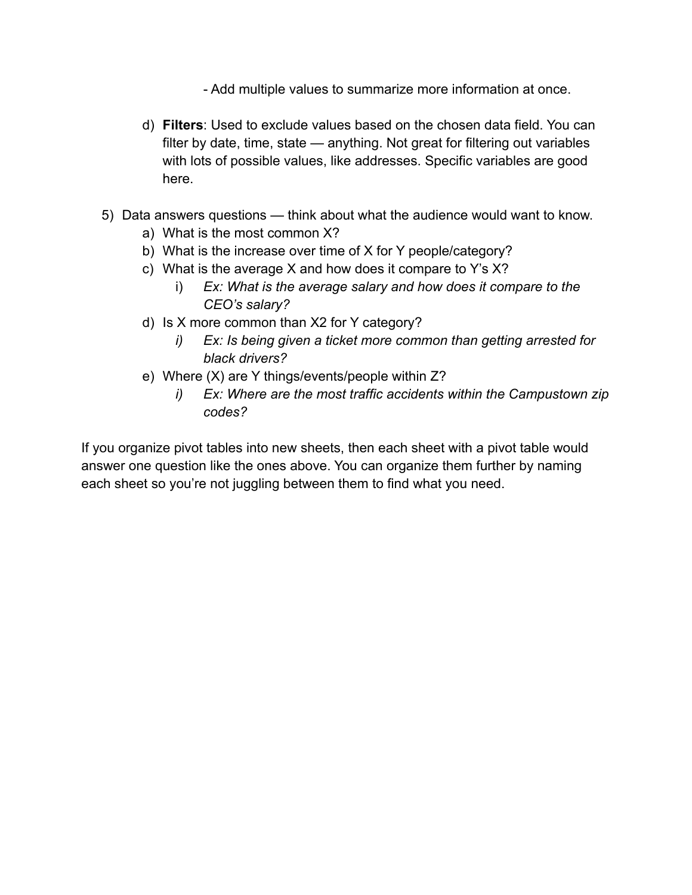- Add multiple values to summarize more information at once.
- d) **Filters**: Used to exclude values based on the chosen data field. You can filter by date, time, state — anything. Not great for filtering out variables with lots of possible values, like addresses. Specific variables are good here.
- 5) Data answers questions think about what the audience would want to know.
	- a) What is the most common X?
	- b) What is the increase over time of X for Y people/category?
	- c) What is the average X and how does it compare to Y's X?
		- i) *Ex: What is the average salary and how does it compare to the CEO's salary?*
	- d) Is X more common than X2 for Y category?
		- *i) Ex: Is being given a ticket more common than getting arrested for black drivers?*
	- e) Where (X) are Y things/events/people within Z?
		- *i) Ex: Where are the most traffic accidents within the Campustown zip codes?*

If you organize pivot tables into new sheets, then each sheet with a pivot table would answer one question like the ones above. You can organize them further by naming each sheet so you're not juggling between them to find what you need.